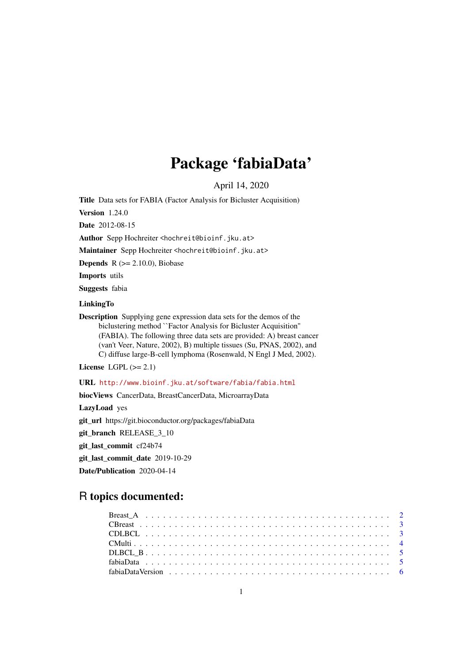## Package 'fabiaData'

April 14, 2020

Title Data sets for FABIA (Factor Analysis for Bicluster Acquisition)

Version 1.24.0

Date 2012-08-15

Author Sepp Hochreiter <hochreit@bioinf.jku.at>

Maintainer Sepp Hochreiter <hochreit@bioinf.jku.at>

**Depends**  $R$  ( $>= 2.10.0$ ), Biobase

Imports utils

Suggests fabia

#### LinkingTo

Description Supplying gene expression data sets for the demos of the biclustering method ``Factor Analysis for Bicluster Acquisition'' (FABIA). The following three data sets are provided: A) breast cancer (van't Veer, Nature, 2002), B) multiple tissues (Su, PNAS, 2002), and C) diffuse large-B-cell lymphoma (Rosenwald, N Engl J Med, 2002).

License LGPL  $(>= 2.1)$ 

URL <http://www.bioinf.jku.at/software/fabia/fabia.html>

biocViews CancerData, BreastCancerData, MicroarrayData

LazyLoad yes

git\_url https://git.bioconductor.org/packages/fabiaData

git\_branch RELEASE\_3\_10

git last commit cf24b74

git\_last\_commit\_date 2019-10-29

Date/Publication 2020-04-14

### R topics documented: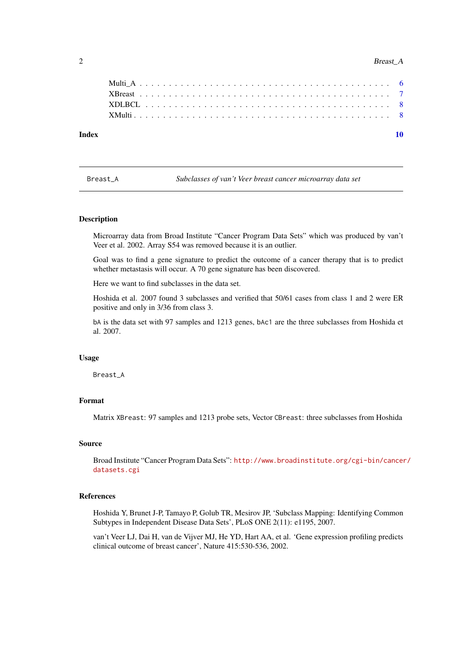#### <span id="page-1-0"></span>2 Breast\_A

| Index |  |  |  |  |  |  |  |  |  |  |  |  |  |  |  |  |  |  |  |  |  |
|-------|--|--|--|--|--|--|--|--|--|--|--|--|--|--|--|--|--|--|--|--|--|

<span id="page-1-1"></span>Breast\_A *Subclasses of van't Veer breast cancer microarray data set*

#### Description

Microarray data from Broad Institute "Cancer Program Data Sets" which was produced by van't Veer et al. 2002. Array S54 was removed because it is an outlier.

Goal was to find a gene signature to predict the outcome of a cancer therapy that is to predict whether metastasis will occur. A 70 gene signature has been discovered.

Here we want to find subclasses in the data set.

Hoshida et al. 2007 found 3 subclasses and verified that 50/61 cases from class 1 and 2 were ER positive and only in 3/36 from class 3.

bA is the data set with 97 samples and 1213 genes, bAc1 are the three subclasses from Hoshida et al. 2007.

#### Usage

Breast\_A

#### Format

Matrix XBreast: 97 samples and 1213 probe sets, Vector CBreast: three subclasses from Hoshida

#### Source

Broad Institute "Cancer Program Data Sets": [http://www.broadinstitute.org/cgi-bin/cancer](http://www.broadinstitute.org/cgi-bin/cancer/datasets.cgi)/ [datasets.cgi](http://www.broadinstitute.org/cgi-bin/cancer/datasets.cgi)

#### References

Hoshida Y, Brunet J-P, Tamayo P, Golub TR, Mesirov JP, 'Subclass Mapping: Identifying Common Subtypes in Independent Disease Data Sets', PLoS ONE 2(11): e1195, 2007.

van't Veer LJ, Dai H, van de Vijver MJ, He YD, Hart AA, et al. 'Gene expression profiling predicts clinical outcome of breast cancer', Nature 415:530-536, 2002.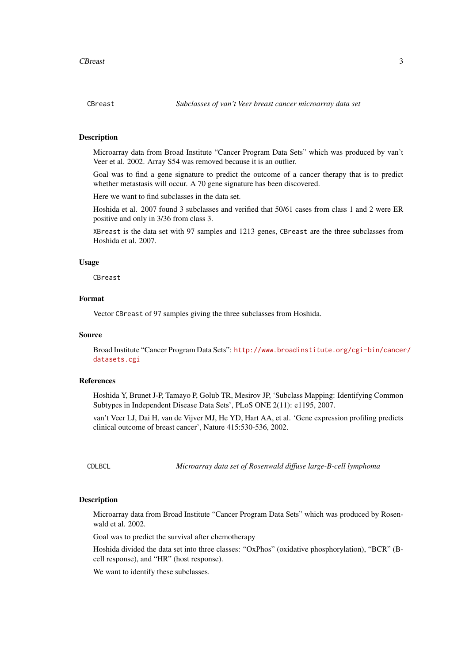<span id="page-2-0"></span>

#### Description

Microarray data from Broad Institute "Cancer Program Data Sets" which was produced by van't Veer et al. 2002. Array S54 was removed because it is an outlier.

Goal was to find a gene signature to predict the outcome of a cancer therapy that is to predict whether metastasis will occur. A 70 gene signature has been discovered.

Here we want to find subclasses in the data set.

Hoshida et al. 2007 found 3 subclasses and verified that 50/61 cases from class 1 and 2 were ER positive and only in 3/36 from class 3.

XBreast is the data set with 97 samples and 1213 genes, CBreast are the three subclasses from Hoshida et al. 2007.

#### Usage

CBreast

#### Format

Vector CBreast of 97 samples giving the three subclasses from Hoshida.

#### Source

Broad Institute "Cancer Program Data Sets": [http://www.broadinstitute.org/cgi-bin/cancer](http://www.broadinstitute.org/cgi-bin/cancer/datasets.cgi)/ [datasets.cgi](http://www.broadinstitute.org/cgi-bin/cancer/datasets.cgi)

#### References

Hoshida Y, Brunet J-P, Tamayo P, Golub TR, Mesirov JP, 'Subclass Mapping: Identifying Common Subtypes in Independent Disease Data Sets', PLoS ONE 2(11): e1195, 2007.

van't Veer LJ, Dai H, van de Vijver MJ, He YD, Hart AA, et al. 'Gene expression profiling predicts clinical outcome of breast cancer', Nature 415:530-536, 2002.

CDLBCL *Microarray data set of Rosenwald diffuse large-B-cell lymphoma*

#### **Description**

Microarray data from Broad Institute "Cancer Program Data Sets" which was produced by Rosenwald et al. 2002.

Goal was to predict the survival after chemotherapy

Hoshida divided the data set into three classes: "OxPhos" (oxidative phosphorylation), "BCR" (Bcell response), and "HR" (host response).

We want to identify these subclasses.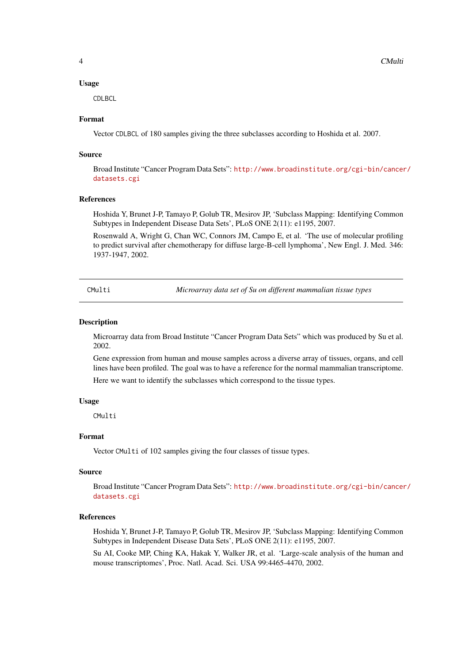#### Usage

CDLBCL

#### Format

Vector CDLBCL of 180 samples giving the three subclasses according to Hoshida et al. 2007.

#### Source

Broad Institute "Cancer Program Data Sets": [http://www.broadinstitute.org/cgi-bin/cancer](http://www.broadinstitute.org/cgi-bin/cancer/datasets.cgi)/ [datasets.cgi](http://www.broadinstitute.org/cgi-bin/cancer/datasets.cgi)

#### References

Hoshida Y, Brunet J-P, Tamayo P, Golub TR, Mesirov JP, 'Subclass Mapping: Identifying Common Subtypes in Independent Disease Data Sets', PLoS ONE 2(11): e1195, 2007.

Rosenwald A, Wright G, Chan WC, Connors JM, Campo E, et al. 'The use of molecular profiling to predict survival after chemotherapy for diffuse large-B-cell lymphoma', New Engl. J. Med. 346: 1937-1947, 2002.

CMulti *Microarray data set of Su on different mammalian tissue types*

#### Description

Microarray data from Broad Institute "Cancer Program Data Sets" which was produced by Su et al. 2002.

Gene expression from human and mouse samples across a diverse array of tissues, organs, and cell lines have been profiled. The goal was to have a reference for the normal mammalian transcriptome.

Here we want to identify the subclasses which correspond to the tissue types.

#### Usage

CMulti

#### Format

Vector CMulti of 102 samples giving the four classes of tissue types.

#### Source

Broad Institute "Cancer Program Data Sets": [http://www.broadinstitute.org/cgi-bin/cancer](http://www.broadinstitute.org/cgi-bin/cancer/datasets.cgi)/ [datasets.cgi](http://www.broadinstitute.org/cgi-bin/cancer/datasets.cgi)

#### References

Hoshida Y, Brunet J-P, Tamayo P, Golub TR, Mesirov JP, 'Subclass Mapping: Identifying Common Subtypes in Independent Disease Data Sets', PLoS ONE 2(11): e1195, 2007.

Su AI, Cooke MP, Ching KA, Hakak Y, Walker JR, et al. 'Large-scale analysis of the human and mouse transcriptomes', Proc. Natl. Acad. Sci. USA 99:4465-4470, 2002.

<span id="page-3-0"></span>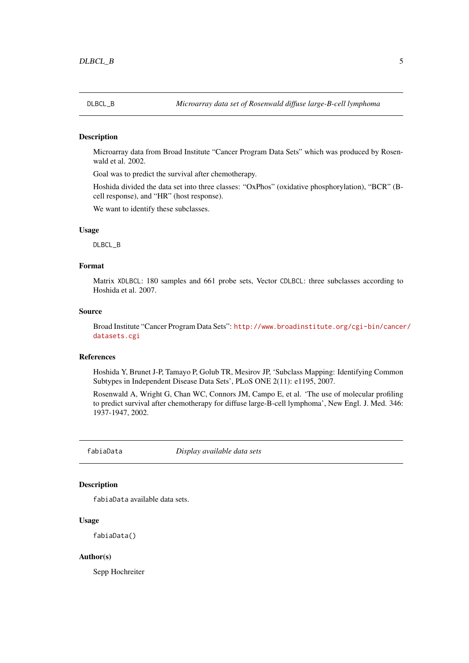<span id="page-4-1"></span><span id="page-4-0"></span>

#### **Description**

Microarray data from Broad Institute "Cancer Program Data Sets" which was produced by Rosenwald et al. 2002.

Goal was to predict the survival after chemotherapy.

Hoshida divided the data set into three classes: "OxPhos" (oxidative phosphorylation), "BCR" (Bcell response), and "HR" (host response).

We want to identify these subclasses.

#### Usage

DLBCL\_B

#### Format

Matrix XDLBCL: 180 samples and 661 probe sets, Vector CDLBCL: three subclasses according to Hoshida et al. 2007.

#### Source

Broad Institute "Cancer Program Data Sets": [http://www.broadinstitute.org/cgi-bin/cancer](http://www.broadinstitute.org/cgi-bin/cancer/datasets.cgi)/ [datasets.cgi](http://www.broadinstitute.org/cgi-bin/cancer/datasets.cgi)

#### References

Hoshida Y, Brunet J-P, Tamayo P, Golub TR, Mesirov JP, 'Subclass Mapping: Identifying Common Subtypes in Independent Disease Data Sets', PLoS ONE 2(11): e1195, 2007.

Rosenwald A, Wright G, Chan WC, Connors JM, Campo E, et al. 'The use of molecular profiling to predict survival after chemotherapy for diffuse large-B-cell lymphoma', New Engl. J. Med. 346: 1937-1947, 2002.

fabiaData *Display available data sets*

#### Description

fabiaData available data sets.

#### Usage

fabiaData()

#### Author(s)

Sepp Hochreiter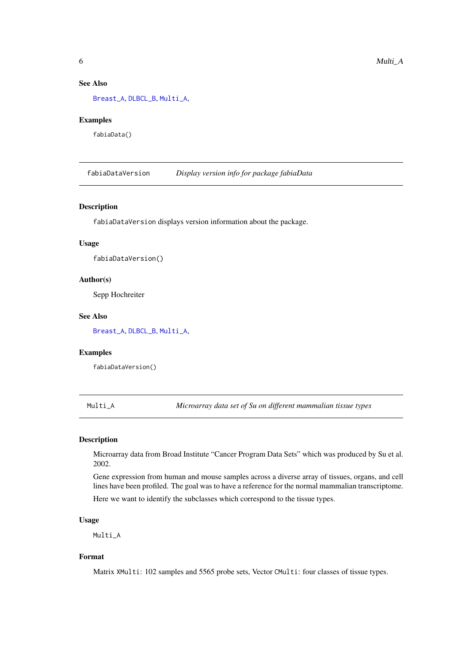#### See Also

[Breast\\_A](#page-1-1), [DLBCL\\_B](#page-4-1), [Multi\\_A](#page-5-1),

#### Examples

fabiaData()

fabiaDataVersion *Display version info for package fabiaData*

#### Description

fabiaDataVersion displays version information about the package.

#### Usage

fabiaDataVersion()

#### Author(s)

Sepp Hochreiter

#### See Also

[Breast\\_A](#page-1-1), [DLBCL\\_B](#page-4-1), [Multi\\_A](#page-5-1),

#### Examples

fabiaDataVersion()

<span id="page-5-1"></span>Multi\_A *Microarray data set of Su on different mammalian tissue types*

#### Description

Microarray data from Broad Institute "Cancer Program Data Sets" which was produced by Su et al. 2002.

Gene expression from human and mouse samples across a diverse array of tissues, organs, and cell lines have been profiled. The goal was to have a reference for the normal mammalian transcriptome.

Here we want to identify the subclasses which correspond to the tissue types.

#### Usage

Multi\_A

#### Format

Matrix XMulti: 102 samples and 5565 probe sets, Vector CMulti: four classes of tissue types.

<span id="page-5-0"></span>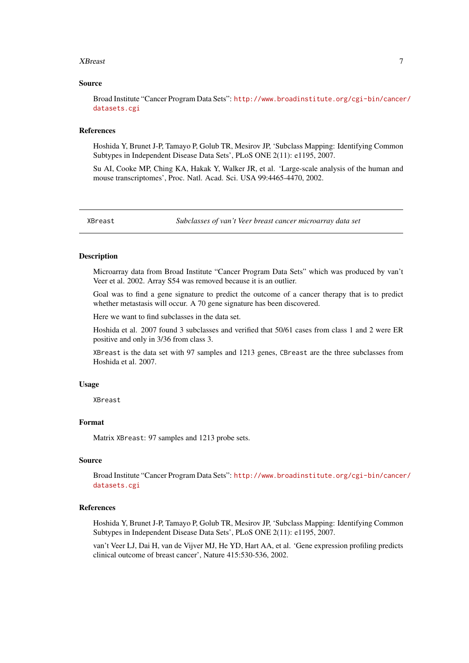#### <span id="page-6-0"></span>XBreast 7

#### Source

Broad Institute "Cancer Program Data Sets": [http://www.broadinstitute.org/cgi-bin/cancer](http://www.broadinstitute.org/cgi-bin/cancer/datasets.cgi)/ [datasets.cgi](http://www.broadinstitute.org/cgi-bin/cancer/datasets.cgi)

#### References

Hoshida Y, Brunet J-P, Tamayo P, Golub TR, Mesirov JP, 'Subclass Mapping: Identifying Common Subtypes in Independent Disease Data Sets', PLoS ONE 2(11): e1195, 2007.

Su AI, Cooke MP, Ching KA, Hakak Y, Walker JR, et al. 'Large-scale analysis of the human and mouse transcriptomes', Proc. Natl. Acad. Sci. USA 99:4465-4470, 2002.

XBreast *Subclasses of van't Veer breast cancer microarray data set*

#### **Description**

Microarray data from Broad Institute "Cancer Program Data Sets" which was produced by van't Veer et al. 2002. Array S54 was removed because it is an outlier.

Goal was to find a gene signature to predict the outcome of a cancer therapy that is to predict whether metastasis will occur. A 70 gene signature has been discovered.

Here we want to find subclasses in the data set.

Hoshida et al. 2007 found 3 subclasses and verified that 50/61 cases from class 1 and 2 were ER positive and only in 3/36 from class 3.

XBreast is the data set with 97 samples and 1213 genes, CBreast are the three subclasses from Hoshida et al. 2007.

#### Usage

XBreast

#### Format

Matrix XBreast: 97 samples and 1213 probe sets.

#### Source

Broad Institute "Cancer Program Data Sets": [http://www.broadinstitute.org/cgi-bin/cancer](http://www.broadinstitute.org/cgi-bin/cancer/datasets.cgi)/ [datasets.cgi](http://www.broadinstitute.org/cgi-bin/cancer/datasets.cgi)

#### References

Hoshida Y, Brunet J-P, Tamayo P, Golub TR, Mesirov JP, 'Subclass Mapping: Identifying Common Subtypes in Independent Disease Data Sets', PLoS ONE 2(11): e1195, 2007.

van't Veer LJ, Dai H, van de Vijver MJ, He YD, Hart AA, et al. 'Gene expression profiling predicts clinical outcome of breast cancer', Nature 415:530-536, 2002.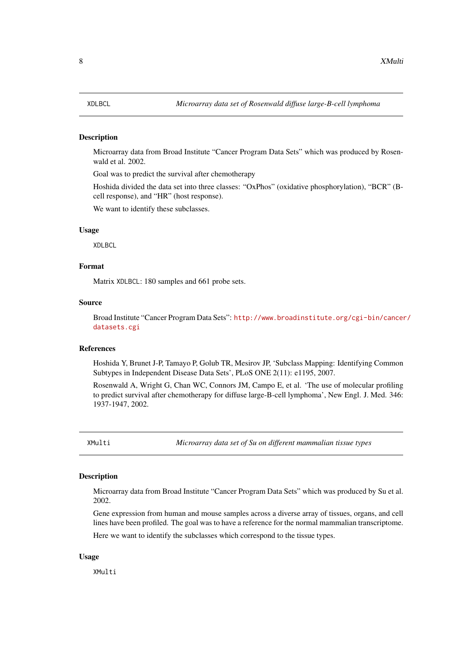<span id="page-7-0"></span>

#### Description

Microarray data from Broad Institute "Cancer Program Data Sets" which was produced by Rosenwald et al. 2002.

Goal was to predict the survival after chemotherapy

Hoshida divided the data set into three classes: "OxPhos" (oxidative phosphorylation), "BCR" (Bcell response), and "HR" (host response).

We want to identify these subclasses.

#### Usage

XDLBCL

#### Format

Matrix XDLBCL: 180 samples and 661 probe sets.

#### Source

Broad Institute "Cancer Program Data Sets": [http://www.broadinstitute.org/cgi-bin/cancer](http://www.broadinstitute.org/cgi-bin/cancer/datasets.cgi)/ [datasets.cgi](http://www.broadinstitute.org/cgi-bin/cancer/datasets.cgi)

#### References

Hoshida Y, Brunet J-P, Tamayo P, Golub TR, Mesirov JP, 'Subclass Mapping: Identifying Common Subtypes in Independent Disease Data Sets', PLoS ONE 2(11): e1195, 2007.

Rosenwald A, Wright G, Chan WC, Connors JM, Campo E, et al. 'The use of molecular profiling to predict survival after chemotherapy for diffuse large-B-cell lymphoma', New Engl. J. Med. 346: 1937-1947, 2002.

XMulti *Microarray data set of Su on different mammalian tissue types*

#### **Description**

Microarray data from Broad Institute "Cancer Program Data Sets" which was produced by Su et al. 2002.

Gene expression from human and mouse samples across a diverse array of tissues, organs, and cell lines have been profiled. The goal was to have a reference for the normal mammalian transcriptome.

Here we want to identify the subclasses which correspond to the tissue types.

#### Usage

XMulti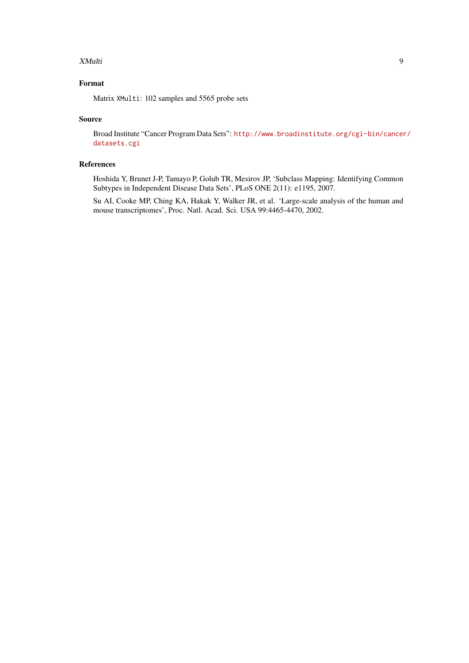#### XMulti 2008 and 2008 and 2008 and 2008 and 2008 and 2008 and 2008 and 2008 and 2008 and 2008 and 2008 and 2008

#### Format

Matrix XMulti: 102 samples and 5565 probe sets

#### Source

Broad Institute "Cancer Program Data Sets": [http://www.broadinstitute.org/cgi-bin/cancer](http://www.broadinstitute.org/cgi-bin/cancer/datasets.cgi)/ [datasets.cgi](http://www.broadinstitute.org/cgi-bin/cancer/datasets.cgi)

#### References

Hoshida Y, Brunet J-P, Tamayo P, Golub TR, Mesirov JP, 'Subclass Mapping: Identifying Common Subtypes in Independent Disease Data Sets', PLoS ONE 2(11): e1195, 2007.

Su AI, Cooke MP, Ching KA, Hakak Y, Walker JR, et al. 'Large-scale analysis of the human and mouse transcriptomes', Proc. Natl. Acad. Sci. USA 99:4465-4470, 2002.